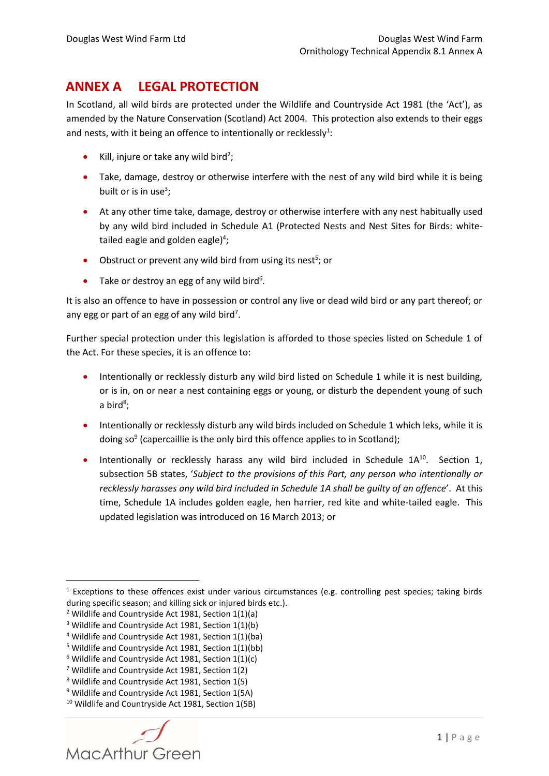## **ANNEX A LEGAL PROTECTION**

In Scotland, all wild birds are protected under the Wildlife and Countryside Act 1981 (the 'Act'), as amended by the Nature Conservation (Scotland) Act 2004. This protection also extends to their eggs and nests, with it being an offence to intentionally or recklessly<sup>1</sup>:

- Kill, injure or take any wild bird<sup>2</sup>;
- Take, damage, destroy or otherwise interfere with the nest of any wild bird while it is being built or is in use<sup>3</sup>;
- At any other time take, damage, destroy or otherwise interfere with any nest habitually used by any wild bird included in Schedule A1 (Protected Nests and Nest Sites for Birds: whitetailed eagle and golden eagle)<sup>4</sup>;
- Obstruct or prevent any wild bird from using its nest<sup>5</sup>; or
- Take or destroy an egg of any wild bird<sup>6</sup>.

It is also an offence to have in possession or control any live or dead wild bird or any part thereof; or any egg or part of an egg of any wild bird<sup>7</sup>.

Further special protection under this legislation is afforded to those species listed on Schedule 1 of the Act. For these species, it is an offence to:

- Intentionally or recklessly disturb any wild bird listed on Schedule 1 while it is nest building, or is in, on or near a nest containing eggs or young, or disturb the dependent young of such a bird<sup>8</sup>;
- Intentionally or recklessly disturb any wild birds included on Schedule 1 which leks, while it is doing so<sup>9</sup> (capercaillie is the only bird this offence applies to in Scotland);
- **Intentionally or recklessly harass any wild bird included in Schedule 1A<sup>10</sup>. Section 1,** subsection 5B states, '*Subject to the provisions of this Part, any person who intentionally or recklessly harasses any wild bird included in Schedule 1A shall be guilty of an offence*'. At this time, Schedule 1A includes golden eagle, hen harrier, red kite and white-tailed eagle. This updated legislation was introduced on 16 March 2013; or

**.** 

<sup>&</sup>lt;sup>1</sup> Exceptions to these offences exist under various circumstances (e.g. controlling pest species; taking birds during specific season; and killing sick or injured birds etc.).

<sup>&</sup>lt;sup>2</sup> Wildlife and Countryside Act 1981, Section 1(1)(a)

<sup>&</sup>lt;sup>3</sup> Wildlife and Countryside Act 1981, Section 1(1)(b)

<sup>4</sup> Wildlife and Countryside Act 1981, Section 1(1)(ba)

<sup>5</sup> Wildlife and Countryside Act 1981, Section 1(1)(bb)

 $6$  Wildlife and Countryside Act 1981, Section 1(1)(c)

<sup>7</sup> Wildlife and Countryside Act 1981, Section 1(2)

<sup>8</sup> Wildlife and Countryside Act 1981, Section 1(5)

<sup>&</sup>lt;sup>9</sup> Wildlife and Countryside Act 1981, Section 1(5A)

<sup>10</sup> Wildlife and Countryside Act 1981, Section 1(5B)